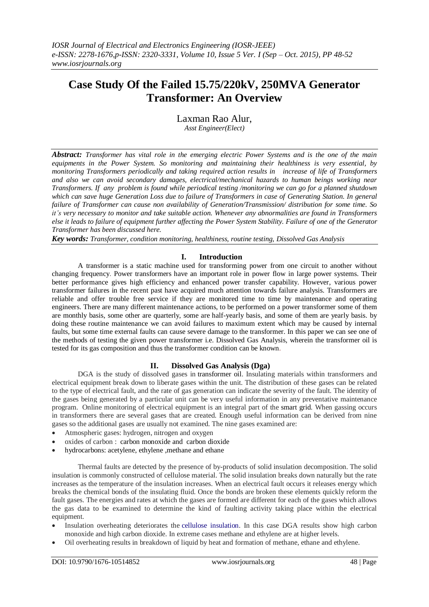# **Case Study Of the Failed 15.75/220kV, 250MVA Generator Transformer: An Overview**

Laxman Rao Alur, *Asst Engineer(Elect)*

*Abstract: Transformer has vital role in the emerging electric Power Systems and is the one of the main equipments in the Power System. So monitoring and maintaining their healthiness is very essential, by monitoring Transformers periodically and taking required action results in increase of life of Transformers and also we can avoid secondary damages, electrical/mechanical hazards to human beings working near Transformers. If any problem is found while periodical testing /monitoring we can go for a planned shutdown which can save huge Generation Loss due to failure of Transformers in case of Generating Station. In general failure of Transformer can cause non availability of Generation/Transmission/ distribution for some time. So it's very necessary to monitor and take suitable action. Whenever any abnormalities are found in Transformers else it leads to failure of equipment further affecting the Power System Stability. Failure of one of the Generator Transformer has been discussed here.*

*Key words: Transformer, condition monitoring, healthiness, routine testing, Dissolved Gas Analysis*

# **I. Introduction**

A transformer is a static machine used for transforming power from one circuit to another without changing frequency. Power transformers have an important role in power flow in large power systems. Their better performance gives high efficiency and enhanced power transfer capability. However, various power transformer failures in the recent past have acquired much attention towards failure analysis. Transformers are reliable and offer trouble free service if they are monitored time to time by maintenance and operating engineers. There are many different maintenance actions, to be performed on a power transformer some of them are monthly basis, some other are quarterly, some are half-yearly basis, and some of them are yearly basis. by doing these routine maintenance we can avoid failures to maximum extent which may be caused by internal faults, but some time external faults can cause severe damage to the transformer. In this paper we can see one of the methods of testing the given power transformer i.e. Dissolved Gas Analysis, wherein the transformer oil is tested for its gas composition and thus the transformer condition can be known.

# **II. Dissolved Gas Analysis (Dga)**

DGA is the study of dissolved gases in [transformer oil.](https://en.wikipedia.org/wiki/Transformer_oil) Insulating materials within transformers and electrical equipment break down to liberate gases within the unit. The distribution of these gases can be related to the type of electrical fault, and the rate of gas generation can indicate the severity of the fault. The identity of the gases being generated by a particular unit can be very useful information in any preventative maintenance program. Online monitoring of electrical equipment is an integral part of the smart grid. When gassing occurs in transformers there are several gases that are created. Enough useful information can be derived from nine gases so the additional gases are usually not examined. The nine gases examined are:

- Atmospheric gases: hydrogen, nitrogen and oxygen
- oxides of carbon : carbon [monoxide and carbon dioxide](https://en.wikipedia.org/wiki/Carbon_monoxide)
- hydrocarbons[: acetylene,](https://en.wikipedia.org/wiki/Acetylene) [ethylene](https://en.wikipedia.org/wiki/Ethylene) [,methane](https://en.wikipedia.org/wiki/Methane) and [ethane](https://en.wikipedia.org/wiki/Ethane)

Thermal faults are detected by the presence of by-products of solid insulation decomposition. The solid insulation is commonly constructed of cellulose material. The solid insulation breaks down naturally but the rate increases as the temperature of the insulation increases. When an electrical fault occurs it releases energy which breaks the chemical bonds of the insulating fluid. Once the bonds are broken these elements quickly reform the fault gases. The energies and rates at which the gases are formed are different for each of the gases which allows the gas data to be examined to determine the kind of faulting activity taking place within the electrical equipment.

- Insulation overheating deteriorates the [cellulose insulation.](https://en.wikipedia.org/wiki/Cellulose_insulation) In this case DGA results show high carbon monoxide and high carbon dioxide. In extreme cases methane and ethylene are at higher levels.
- Oil overheating results in breakdown of liquid by heat and formation of methane, ethane and ethylene.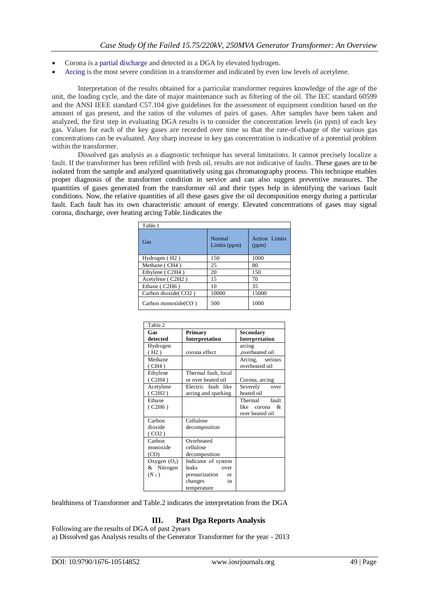- Corona is a [partial discharge](https://en.wikipedia.org/wiki/Partial_discharge) and detected in a DGA by elevated hydrogen.
- [Arcing](https://en.wikipedia.org/wiki/Electric_arc) is the most severe condition in a transformer and indicated by even low levels of acetylene.

Interpretation of the results obtained for a particular transformer requires knowledge of the age of the unit, the loading cycle, and the date of major maintenance such as filtering of the oil. The IEC standard 60599 and the ANSI IEEE standard C57.104 give guidelines for the assessment of equipment condition based on the amount of gas present, and the ratios of the volumes of pairs of gases. After samples have been taken and analyzed, the first step in evaluating DGA results is to consider the concentration levels (in ppm) of each key gas. Values for each of the key gases are recorded over time so that the rate-of-change of the various gas concentrations can be evaluated. Any sharp increase in key gas concentration is indicative of a potential problem within the transformer.

Dissolved gas analysis as a diagnostic technique has several limitations. It cannot precisely localize a fault. If the transformer has been refilled with fresh oil, results are not indicative of faults. These gases are to be isolated from the sample and analyzed quantitatively using gas chromatography process. This technique enables proper diagnosis of the transformer condition in service and can also suggest preventive measures. The quantities of gases generated from the transformer oil and their types help in identifying the various fault conditions. Now, the relative quantities of all these gases give the oil decomposition energy during a particular fault. Each fault has its own characteristic amount of energy. Elevated concentrations of gases may signal corona, discharge, over heating arcing Table.1indicates the

| Table.1                    |                        |                               |  |  |  |
|----------------------------|------------------------|-------------------------------|--|--|--|
| Gas                        | Normal<br>Limits (ppm) | <b>Action Limits</b><br>(ppm) |  |  |  |
| Hydrogen (H <sub>2</sub> ) | 150                    | 1000                          |  |  |  |
| Methane (CH4)              | 25                     | 80                            |  |  |  |
| Ethylene (C2H4)            | 20                     | 150                           |  |  |  |
| Acetylene (C2H2)           | 15                     | 70                            |  |  |  |
| Ethane (C2H6)              | 10                     | 35                            |  |  |  |
| Carbon dioxide (CO2)       | 10000                  | 15000                         |  |  |  |
| Carbon monoxide(CO)        | 500                    | 1000                          |  |  |  |

| Table.2        |                      |                     |
|----------------|----------------------|---------------------|
| Gas            | Primary              | Secondary           |
| detected       | Interpretation       | Interpretation      |
| Hydrogen       |                      | arcing              |
| (H2)           | corona effect        | overheated oil,     |
| Methane        |                      | Arcing, serious     |
| (CH4)          |                      | overheated oil      |
| Ethylene       | Thermal fault, local |                     |
| (C2H4)         | or over heated oil   | Corona, arcing      |
| Acetylene      | Electric fault like  | Severely<br>over    |
| (C2H2)         | arcing and sparking  | heated oil          |
| Ethane         |                      | fault<br>Thermal    |
| (C2H6)         |                      | like<br>$corona \&$ |
|                |                      | over heated oil     |
| Carbon         | Cellulose            |                     |
| dioxide        | decomposition        |                     |
| (CO2)          |                      |                     |
| Carbon         | Overheated           |                     |
| monoxide       | cellulose            |                     |
| (CO)           | decomposition        |                     |
| Oxygen $(O_2)$ | Indicator of system  |                     |
| & Nitrogen     | leaks<br>over        |                     |
| $(N_2)$        | pressurization or    |                     |
|                | changes<br>in        |                     |
|                | temperature          |                     |

healthiness of Transformer and Table.2 indicates the interpretation from the DGA

# **III. Past Dga Reports Analysis**

Following are the results of DGA of past 2years a) Dissolved gas Analysis results of the Generator Transformer for the year - 2013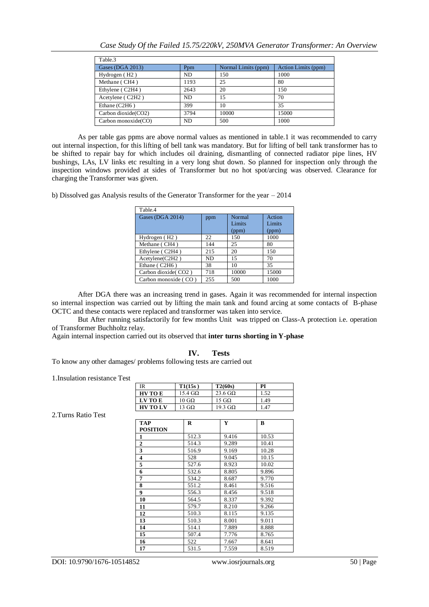|  | Case Study Of the Failed 15.75/220kV, 250MVA Generator Transformer: An Overview |  |  |  |
|--|---------------------------------------------------------------------------------|--|--|--|
|--|---------------------------------------------------------------------------------|--|--|--|

| Table.3                    |                 |                     |                     |
|----------------------------|-----------------|---------------------|---------------------|
| Gases (DGA 2013)           | P <sub>pm</sub> | Normal Limits (ppm) | Action Limits (ppm) |
| Hydrogen (H <sub>2</sub> ) | ND.             | 150                 | 1000                |
| Methane (CH4)              | 1193            | 25                  | 80                  |
| Ethylene (C2H4)            | 2643            | 20                  | 150                 |
| Acetylene (C2H2)           | ND.             | 15                  | 70                  |
| Ethane $(C2H6)$            | 399             | 10                  | 35                  |
| Carbon dioxide(CO2)        | 3794            | 10000               | 15000               |
| Carbon monoxide(CO)        | ND.             | 500                 | 1000                |

As per table gas ppms are above normal values as mentioned in table.1 it was recommended to carry out internal inspection, for this lifting of bell tank was mandatory. But for lifting of bell tank transformer has to be shifted to repair bay for which includes oil draining, dismantling of connected radiator pipe lines, HV bushings, LAs, LV links etc resulting in a very long shut down. So planned for inspection only through the inspection windows provided at sides of Transformer but no hot spot/arcing was observed. Clearance for charging the Transformer was given.

b) Dissolved gas Analysis results of the Generator Transformer for the year – 2014

| Table.4                    |     |                  |                  |
|----------------------------|-----|------------------|------------------|
| Gases (DGA 2014)           | ppm | Normal<br>Limits | Action<br>Limits |
|                            |     | (ppm)            | (ppm)            |
| Hydrogen (H <sub>2</sub> ) | 22. | 150              | 1000             |
| Methane (CH4)              | 144 | 25               | 80               |
| Ethylene (C2H4)            | 215 | 20               | 150              |
| Acetylene(C2H2)            | ND. | 15               | 70               |
| Ethane (C2H6)              | 38  | 10               | 35               |
| Carbon dioxide (CO2)       | 718 | 10000            | 15000            |
| Carbon monoxide (CO)       | 255 | 500              | 1000             |

After DGA there was an increasing trend in gases. Again it was recommended for internal inspection so internal inspection was carried out by lifting the main tank and found arcing at some contacts of B-phase OCTC and these contacts were replaced and transformer was taken into service.

But After running satisfactorily for few months Unit was tripped on Class-A protection i.e. operation of Transformer Buchholtz relay.

Again internal inspection carried out its observed that **inter turns shorting in Y-phase**

#### **IV. Tests**

To know any other damages/ problems following tests are carried out

1.Insulation resistance Test

| IR              | T1(15s)                   | T2(60s)                | PI   |
|-----------------|---------------------------|------------------------|------|
| <b>HV TO E</b>  | $15.4 \,\mathrm{G}\Omega$ | $23.6 \text{ G}\Omega$ | 1.52 |
| LV TO E         | $10\,\mathrm{G}\Omega$    | 15 G $\Omega$          | 1.49 |
| <b>HV TO LV</b> | 13 G $\Omega$             | 19.3 GΩ                | 1.47 |

2.Turns Ratio Test

| R     | Y     | B     |
|-------|-------|-------|
|       |       |       |
| 512.3 | 9.416 | 10.53 |
| 514.3 | 9.289 | 10.41 |
| 516.9 | 9.169 | 10.28 |
| 528   | 9.045 | 10.15 |
| 527.6 | 8.923 | 10.02 |
| 532.6 | 8.805 | 9.896 |
| 534.2 | 8.687 | 9.770 |
| 551.2 | 8.461 | 9.516 |
| 556.3 | 8.456 | 9.518 |
| 564.5 | 8.337 | 9.392 |
| 579.7 | 8.210 | 9.266 |
| 510.3 | 8.115 | 9.135 |
| 510.3 | 8.001 | 9.011 |
| 514.1 | 7.889 | 8.888 |
| 507.4 | 7.776 | 8.765 |
| 522   | 7.667 | 8.641 |
| 531.5 | 7.559 | 8.519 |
|       |       |       |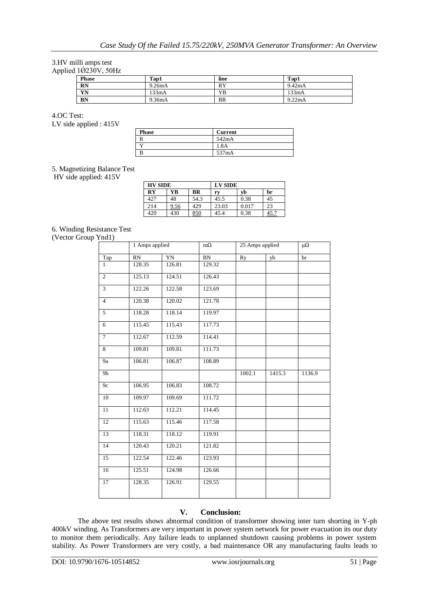#### 3.HV milli amps test Applied  $1\overline{\text{O}}230V$ , 50Hz

| <b>Phase</b> | Tap1   | line      | Tap1   |
|--------------|--------|-----------|--------|
| <b>RN</b>    | 9.26mA | <b>RY</b> | 9.42mA |
| YN           | 133mA  | YΒ        | 133mA  |
| <b>BN</b>    | 9.36mA | BR        | 9.22mA |

4.OC Test: LV side applied : 415V

| <b>Phase</b> | <b>Current</b> |
|--------------|----------------|
|              | 542mA          |
|              | 1.8A           |
|              | 537mA          |

## 5. Magnetizing Balance Test

HV side applied: 415V

| <b>HV SIDE</b>         |             | <b>LV SIDE</b> |       |       |      |
|------------------------|-------------|----------------|-------|-------|------|
| $\mathbf{R}\mathbf{Y}$ | YB          | <b>BR</b>      | rv    | vb    | br   |
| 427                    | 48          | 54.3           | 45.5  | 0.38  | 45   |
| 214                    | <u>9.56</u> | 429            | 23.03 | 0.017 | 23   |
| 420                    | 430         | 850            | 45.4  | 0.38  | 45.7 |

# 6. Winding Resistance Test

(Vector Group Ynd1)

|                | 1 Amps applied  |        | $m\Omega$ | 25 Amps applied |        | $\mu\Omega$ |
|----------------|-----------------|--------|-----------|-----------------|--------|-------------|
| Tap            | $\overline{RN}$ | YN     | BN        | Ry              | yb     | br          |
| $\mathbf{1}$   | 128.35          | 126.81 | 129.32    |                 |        |             |
| $\overline{c}$ | 125.13          | 124.51 | 126.43    |                 |        |             |
| $\overline{3}$ | 122.26          | 122.58 | 123.69    |                 |        |             |
| $\overline{4}$ | 120.38          | 120.02 | 121.78    |                 |        |             |
| 5              | 118.28          | 118.14 | 119.97    |                 |        |             |
| 6              | 115.45          | 115.43 | 117.73    |                 |        |             |
| $\overline{7}$ | 112.67          | 112.59 | 114.41    |                 |        |             |
| 8              | 109.81          | 109.81 | 111.73    |                 |        |             |
| <b>9a</b>      | 106.81          | 106.87 | 108.89    |                 |        |             |
| 9 <sub>b</sub> |                 |        |           | 1002.1          | 1415.3 | 1136.9      |
| 9c             | 106.95          | 106.83 | 108.72    |                 |        |             |
| 10             | 109.97          | 109.69 | 111.72    |                 |        |             |
| 11             | 112.63          | 112.21 | 114.45    |                 |        |             |
| 12             | 115.63          | 115.46 | 117.58    |                 |        |             |
| 13             | 118.31          | 118.12 | 119.91    |                 |        |             |
| 14             | 120.43          | 120.21 | 121.82    |                 |        |             |
| 15             | 122.54          | 122.46 | 123.93    |                 |        |             |
| 16             | 125.51          | 124.98 | 126.66    |                 |        |             |
| 17             | 128.35          | 126.91 | 129.55    |                 |        |             |
|                |                 |        |           |                 |        |             |

# **V. Conclusion:**

The above test results shows abnormal condition of transformer showing inter turn shorting in Y-ph 400kV winding. As Transformers are very important in power system network for power evacuation its our duty to monitor them periodically. Any failure leads to unplanned shutdown causing problems in power system stability. As Power Transformers are very costly, a bad maintenance OR any manufacturing faults leads to